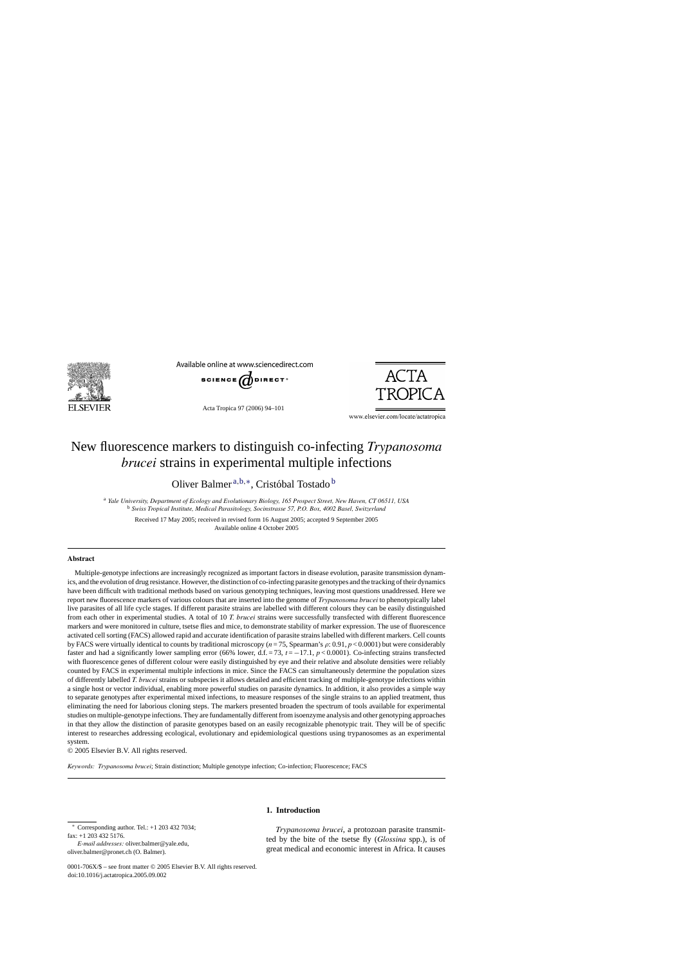

Available online at www.sciencedirect.com



Acta Tropica 97 (2006) 94–101

**ACTA TROPICA** 

www.elsevier.com/locate/actatropica

# New fluorescence markers to distinguish co-infecting *Trypanosoma brucei* strains in experimental multiple infections

Oliver Balmer<sup>a,b,∗</sup>, Cristóbal Tostado<sup>b</sup>

<sup>a</sup> *Yale University, Department of Ecology and Evolutionary Biology, 165 Prospect Street, New Haven, CT 06511, USA* <sup>b</sup> *Swiss Tropical Institute, Medical Parasitology, Socinstrasse 57, P.O. Box, 4002 Basel, Switzerland*

> Received 17 May 2005; received in revised form 16 August 2005; accepted 9 September 2005 Available online 4 October 2005

# **Abstract**

Multiple-genotype infections are increasingly recognized as important factors in disease evolution, parasite transmission dynamics, and the evolution of drug resistance. However, the distinction of co-infecting parasite genotypes and the tracking of their dynamics have been difficult with traditional methods based on various genotyping techniques, leaving most questions unaddressed. Here we report new fluorescence markers of various colours that are inserted into the genome of *Trypanosoma brucei* to phenotypically label live parasites of all life cycle stages. If different parasite strains are labelled with different colours they can be easily distinguished from each other in experimental studies. A total of 10 *T. brucei* strains were successfully transfected with different fluorescence markers and were monitored in culture, tsetse flies and mice, to demonstrate stability of marker expression. The use of fluorescence activated cell sorting (FACS) allowed rapid and accurate identification of parasite strains labelled with different markers. Cell counts by FACS were virtually identical to counts by traditional microscopy (*n* = 75, Spearman's ρ: 0.91, *p* < 0.0001) but were considerably faster and had a significantly lower sampling error (66% lower, d.f. = 73, *t* = −17.1, *p* < 0.0001). Co-infecting strains transfected with fluorescence genes of different colour were easily distinguished by eye and their relative and absolute densities were reliably counted by FACS in experimental multiple infections in mice. Since the FACS can simultaneously determine the population sizes of differently labelled *T. brucei* strains or subspecies it allows detailed and efficient tracking of multiple-genotype infections within a single host or vector individual, enabling more powerful studies on parasite dynamics. In addition, it also provides a simple way to separate genotypes after experimental mixed infections, to measure responses of the single strains to an applied treatment, thus eliminating the need for laborious cloning steps. The markers presented broaden the spectrum of tools available for experimental studies on multiple-genotype infections. They are fundamentally different from isoenzyme analysis and other genotyping approaches in that they allow the distinction of parasite genotypes based on an easily recognizable phenotypic trait. They will be of specific interest to researches addressing ecological, evolutionary and epidemiological questions using trypanosomes as an experimental system.

© 2005 Elsevier B.V. All rights reserved.

*Keywords: Trypanosoma brucei*; Strain distinction; Multiple genotype infection; Co-infection; Fluorescence; FACS

∗ Corresponding author. Tel.: +1 203 432 7034; fax: +1 203 432 5176.

*E-mail addresses:* oliver.balmer@yale.edu, oliver.balmer@pronet.ch (O. Balmer).

# **1. Introduction**

*Trypanosoma brucei*, a protozoan parasite transmitted by the bite of the tsetse fly (*Glossina* spp.), is of great medical and economic interest in Africa. It causes

0001-706X/\$ – see front matter © 2005 Elsevier B.V. All rights reserved. doi:10.1016/j.actatropica.2005.09.002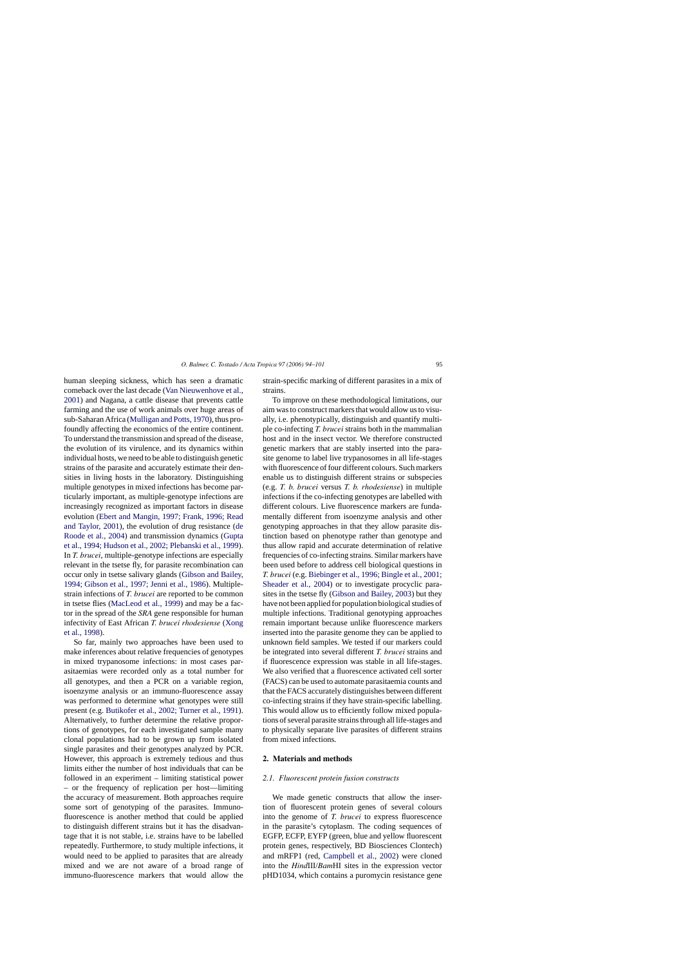human sleeping sickness, which has seen a dramatic comeback over the last decade [\(Van Nieuwenhove et al.,](#page-7-0) [2001\)](#page-7-0) and Nagana, a cattle disease that prevents cattle farming and the use of work animals over huge areas of sub-Saharan Africa [\(Mulligan and Potts, 1970\), t](#page-7-0)hus profoundly affecting the economics of the entire continent. To understand the transmission and spread of the disease, the evolution of its virulence, and its dynamics within individual hosts, we need to be able to distinguish genetic strains of the parasite and accurately estimate their densities in living hosts in the laboratory. Distinguishing multiple genotypes in mixed infections has become particularly important, as multiple-genotype infections are increasingly recognized as important factors in disease evolution [\(Ebert and Mangin, 1997; Frank, 1996; Read](#page-6-0) [and Taylor, 2001\),](#page-6-0) the evolution of drug resistance ([de](#page-6-0) [Roode et al., 2004\)](#page-6-0) and transmission dynamics ([Gupta](#page-6-0) [et al., 1994; Hudson et al., 2002; Plebanski et al., 1999\).](#page-6-0) In *T. brucei*, multiple-genotype infections are especially relevant in the tsetse fly, for parasite recombination can occur only in tsetse salivary glands [\(Gibson and Bailey,](#page-6-0) [1994; Gibson et al., 1997; Jenni et al., 1986\).](#page-6-0) Multiplestrain infections of *T. brucei* are reported to be common in tsetse flies ([MacLeod et al., 1999\)](#page-7-0) and may be a factor in the spread of the *SRA* gene responsible for human infectivity of East African *T. brucei rhodesiense* ([Xong](#page-7-0) [et al., 1998\).](#page-7-0)

So far, mainly two approaches have been used to make inferences about relative frequencies of genotypes in mixed trypanosome infections: in most cases parasitaemias were recorded only as a total number for all genotypes, and then a PCR on a variable region, isoenzyme analysis or an immuno-fluorescence assay was performed to determine what genotypes were still present (e.g. [Butikofer et al., 2002; Turner et al., 1991\).](#page-6-0) Alternatively, to further determine the relative proportions of genotypes, for each investigated sample many clonal populations had to be grown up from isolated single parasites and their genotypes analyzed by PCR. However, this approach is extremely tedious and thus limits either the number of host individuals that can be followed in an experiment – limiting statistical power – or the frequency of replication per host—limiting the accuracy of measurement. Both approaches require some sort of genotyping of the parasites. Immunofluorescence is another method that could be applied to distinguish different strains but it has the disadvantage that it is not stable, i.e. strains have to be labelled repeatedly. Furthermore, to study multiple infections, it would need to be applied to parasites that are already mixed and we are not aware of a broad range of immuno-fluorescence markers that would allow the

strain-specific marking of different parasites in a mix of strains.

To improve on these methodological limitations, our aim was to construct markers that would allow us to visually, i.e. phenotypically, distinguish and quantify multiple co-infecting *T. brucei* strains both in the mammalian host and in the insect vector. We therefore constructed genetic markers that are stably inserted into the parasite genome to label live trypanosomes in all life-stages with fluorescence of four different colours. Such markers enable us to distinguish different strains or subspecies (e.g. *T. b. brucei* versus *T. b. rhodesiense*) in multiple infections if the co-infecting genotypes are labelled with different colours. Live fluorescence markers are fundamentally different from isoenzyme analysis and other genotyping approaches in that they allow parasite distinction based on phenotype rather than genotype and thus allow rapid and accurate determination of relative frequencies of co-infecting strains. Similar markers have been used before to address cell biological questions in *T. brucei* (e.g. [Biebinger et al., 1996; Bingle et al., 2001;](#page-6-0) [Sheader et al., 2004\)](#page-6-0) or to investigate procyclic parasites in the tsetse fly ([Gibson and Bailey, 2003\)](#page-6-0) but they have not been applied for population biological studies of multiple infections. Traditional genotyping approaches remain important because unlike fluorescence markers inserted into the parasite genome they can be applied to unknown field samples. We tested if our markers could be integrated into several different *T. brucei* strains and if fluorescence expression was stable in all life-stages. We also verified that a fluorescence activated cell sorter (FACS) can be used to automate parasitaemia counts and that the FACS accurately distinguishes between different co-infecting strains if they have strain-specific labelling. This would allow us to efficiently follow mixed populations of several parasite strains through all life-stages and to physically separate live parasites of different strains from mixed infections.

# **2. Materials and methods**

#### *2.1. Fluorescent protein fusion constructs*

We made genetic constructs that allow the insertion of fluorescent protein genes of several colours into the genome of *T. brucei* to express fluorescence in the parasite's cytoplasm. The coding sequences of EGFP, ECFP, EYFP (green, blue and yellow fluorescent protein genes, respectively, BD Biosciences Clontech) and mRFP1 (red, [Campbell et al., 2002\)](#page-6-0) were cloned into the *Hind*III/*Bam*HI sites in the expression vector pHD1034, which contains a puromycin resistance gene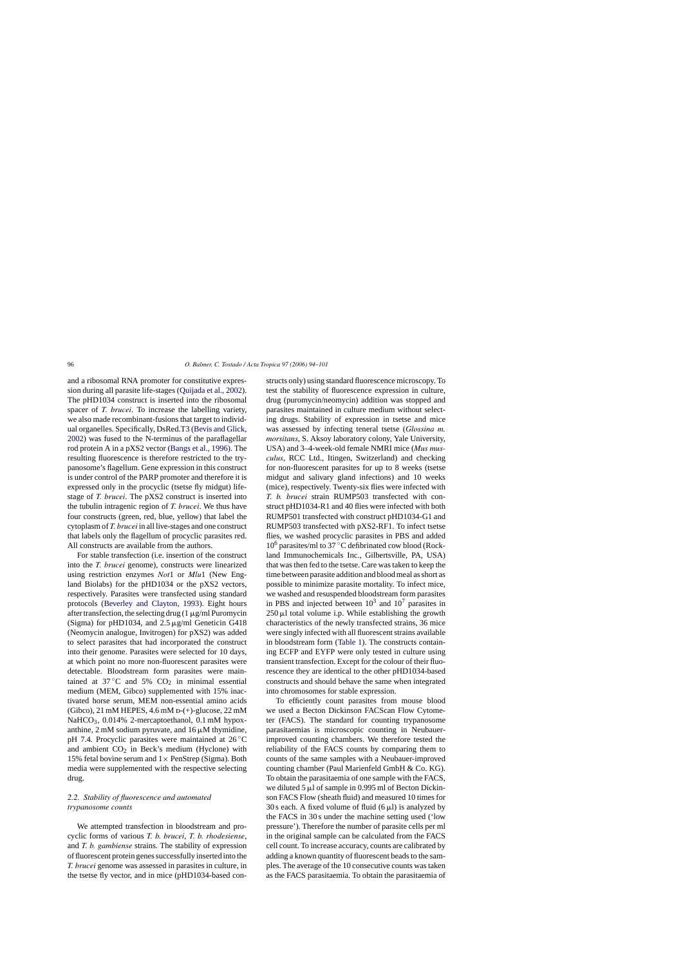and a ribosomal RNA promoter for constitutive expression during all parasite life-stages ([Quijada et al., 2002\).](#page-7-0) The pHD1034 construct is inserted into the ribosomal spacer of *T. brucei*. To increase the labelling variety, we also made recombinant-fusions that target to individual organelles. Specifically, DsRed.T3 [\(Bevis and Glick,](#page-6-0) [2002\)](#page-6-0) was fused to the N-terminus of the paraflagellar rod protein A in a pXS2 vector [\(Bangs et al., 1996\).](#page-6-0) The resulting fluorescence is therefore restricted to the trypanosome's flagellum. Gene expression in this construct is under control of the PARP promoter and therefore it is expressed only in the procyclic (tsetse fly midgut) lifestage of *T. brucei*. The pXS2 construct is inserted into the tubulin intragenic region of *T. brucei*. We thus have four constructs (green, red, blue, yellow) that label the cytoplasm of *T. brucei* in all live-stages and one construct that labels only the flagellum of procyclic parasites red. All constructs are available from the authors.

For stable transfection (i.e. insertion of the construct into the *T. brucei* genome), constructs were linearized using restriction enzymes *Not*1 or *Mlu*1 (New England Biolabs) for the pHD1034 or the pXS2 vectors, respectively. Parasites were transfected using standard protocols [\(Beverley and Clayton, 1993](#page-6-0)). Eight hours after transfection, the selecting drug  $(1 \mu g/ml$  Puromycin (Sigma) for pHD1034, and  $2.5 \mu$ g/ml Geneticin G418 (Neomycin analogue, Invitrogen) for pXS2) was added to select parasites that had incorporated the construct into their genome. Parasites were selected for 10 days, at which point no more non-fluorescent parasites were detectable. Bloodstream form parasites were maintained at  $37^{\circ}$ C and  $5\%$  CO<sub>2</sub> in minimal essential medium (MEM, Gibco) supplemented with 15% inactivated horse serum, MEM non-essential amino acids  $(Gibco)$ , 21 mM HEPES, 4.6 mM  $D-(+)$ -glucose, 22 mM NaHCO<sub>3</sub>, 0.014% 2-mercaptoethanol, 0.1 mM hypoxanthine,  $2 \text{ mM}$  sodium pyruvate, and  $16 \mu \text{ M}$  thymidine, pH 7.4. Procyclic parasites were maintained at 26 °C and ambient  $CO<sub>2</sub>$  in Beck's medium (Hyclone) with 15% fetal bovine serum and  $1 \times$  PenStrep (Sigma). Both media were supplemented with the respective selecting drug.

# *2.2. Stability of fluorescence and automated trypanosome counts*

We attempted transfection in bloodstream and procyclic forms of various *T. b. brucei*, *T. b. rhodesiense*, and *T. b. gambiense* strains. The stability of expression of fluorescent protein genes successfully inserted into the *T. brucei* genome was assessed in parasites in culture, in the tsetse fly vector, and in mice (pHD1034-based constructs only) using standard fluorescence microscopy. To test the stability of fluorescence expression in culture, drug (puromycin/neomycin) addition was stopped and parasites maintained in culture medium without selecting drugs. Stability of expression in tsetse and mice was assessed by infecting teneral tsetse (*Glossina m. morsitans*, S. Aksoy laboratory colony, Yale University, USA) and 3–4-week-old female NMRI mice (*Mus musculus*, RCC Ltd., Itingen, Switzerland) and checking for non-fluorescent parasites for up to 8 weeks (tsetse midgut and salivary gland infections) and 10 weeks (mice), respectively. Twenty-six flies were infected with *T. b. brucei* strain RUMP503 transfected with construct pHD1034-R1 and 40 flies were infected with both RUMP501 transfected with construct pHD1034-G1 and RUMP503 transfected with pXS2-RF1. To infect tsetse flies, we washed procyclic parasites in PBS and added  $10^6$  parasites/ml to 37 °C defibrinated cow blood (Rockland Immunochemicals Inc., Gilbertsville, PA, USA) that was then fed to the tsetse. Care was taken to keep the time between parasite addition and blood meal as short as possible to minimize parasite mortality. To infect mice, we washed and resuspended bloodstream form parasites in PBS and injected between  $10^3$  and  $10^7$  parasites in  $250 \mu l$  total volume i.p. While establishing the growth characteristics of the newly transfected strains, 36 mice were singly infected with all fluorescent strains available in bloodstream form ([Table 1\).](#page-3-0) The constructs containing ECFP and EYFP were only tested in culture using transient transfection. Except for the colour of their fluorescence they are identical to the other pHD1034-based constructs and should behave the same when integrated into chromosomes for stable expression.

To efficiently count parasites from mouse blood we used a Becton Dickinson FACScan Flow Cytometer (FACS). The standard for counting trypanosome parasitaemias is microscopic counting in Neubauerimproved counting chambers. We therefore tested the reliability of the FACS counts by comparing them to counts of the same samples with a Neubauer-improved counting chamber (Paul Marienfeld GmbH & Co. KG). To obtain the parasitaemia of one sample with the FACS, we diluted  $5 \mu$ l of sample in 0.995 ml of Becton Dickinson FACS Flow (sheath fluid) and measured 10 times for 30 s each. A fixed volume of fluid  $(6 \mu l)$  is analyzed by the FACS in 30 s under the machine setting used ('low pressure'). Therefore the number of parasite cells per ml in the original sample can be calculated from the FACS cell count. To increase accuracy, counts are calibrated by adding a known quantity of fluorescent beads to the samples. The average of the 10 consecutive counts was taken as the FACS parasitaemia. To obtain the parasitaemia of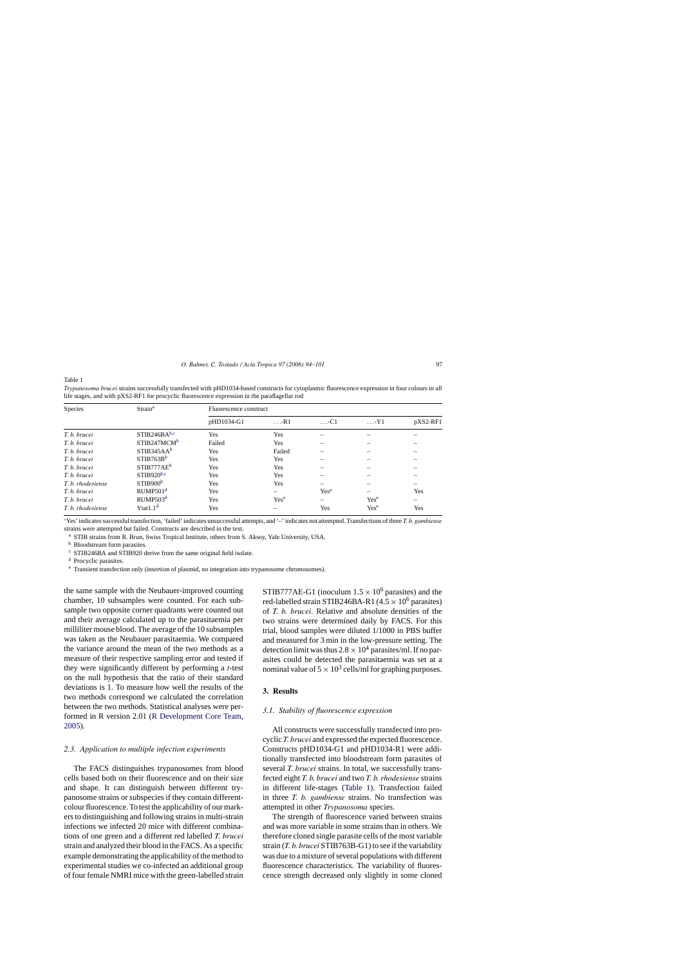| Species           | Strain <sup>a</sup>      | Fluorescence construct |                  |                  |                  |          |
|-------------------|--------------------------|------------------------|------------------|------------------|------------------|----------|
|                   |                          | pHD1034-G1             | $\dots$ -R1      | $\dots$ -C1      | $\dots Y1$       | pXS2-RF1 |
| T. b. brucei      | STIB246BA <sup>b,c</sup> | Yes                    | Yes              |                  |                  |          |
| T. b. brucei      | STIB247MCM <sup>b</sup>  | Failed                 | Yes              |                  |                  |          |
| T. b. brucei      | $STIB345AA^b$            | Yes                    | Failed           |                  |                  |          |
| T. b. brucei      | STIB763B <sup>b</sup>    | Yes                    | Yes              |                  |                  |          |
| T. b. brucei      | STIB777AE <sup>b</sup>   | Yes                    | Yes              |                  |                  |          |
| T. b. brucei      | $STIB920^{b,c}$          | Yes                    | Yes              |                  |                  |          |
| T. b. rhodesiense | STIB900 <sup>b</sup>     | Yes                    | Yes              |                  |                  |          |
| T. b. brucei      | RUMP501 <sup>d</sup>     | Yes                    |                  | Yes <sup>e</sup> |                  | Yes      |
| T. b. brucei      | RUMP503 <sup>d</sup>     | Yes                    | Yes <sup>e</sup> |                  | Yes <sup>e</sup> |          |
| T. b. rhodesiense | $Y$ tat $1.1d$           | Yes                    |                  | Yes              | Yese             | Yes      |

*Trypanosoma brucei* strains successfully transfected with pHD1034-based constructs for cytoplasmic fluorescence expression in four colours in all life stages, and with pXS2-RF1 for procyclic fluorescence expression in the paraflagellar rod

'Yes' indicates successful transfection, 'failed' indicates unsuccessful attempts, and '–' indicates not attempted. Transfections of three *T. b. gambiense* strains were attempted but failed. Constructs are described in the text.

<sup>a</sup> STIB strains from R. Brun, Swiss Tropical Institute, others from S. Aksoy, Yale University, USA.

<sup>b</sup> Bloodstream form parasites.

<sup>c</sup> STIB246BA and STIB920 derive from the same original field isolate.

<sup>d</sup> Procyclic parasites.

<span id="page-3-0"></span>Table 1

<sup>e</sup> Transient transfection only (insertion of plasmid, no integration into trypanosome chromosomes).

the same sample with the Neubauer-improved counting chamber, 10 subsamples were counted. For each subsample two opposite corner quadrants were counted out and their average calculated up to the parasitaemia per milliliter mouse blood. The average of the 10 subsamples was taken as the Neubauer parasitaemia. We compared the variance around the mean of the two methods as a measure of their respective sampling error and tested if they were significantly different by performing a *t*-test on the null hypothesis that the ratio of their standard deviations is 1. To measure how well the results of the two methods correspond we calculated the correlation between the two methods. Statistical analyses were performed in R version 2.01 [\(R Development Core Team,](#page-7-0) [2005\).](#page-7-0)

#### *2.3. Application to multiple infection experiments*

The FACS distinguishes trypanosomes from blood cells based both on their fluorescence and on their size and shape. It can distinguish between different trypanosome strains or subspecies if they contain differentcolour fluorescence. To test the applicability of our markers to distinguishing and following strains in multi-strain infections we infected 20 mice with different combinations of one green and a different red labelled *T. brucei* strain and analyzed their blood in the FACS. As a specific example demonstrating the applicability of the method to experimental studies we co-infected an additional group of four female NMRI mice with the green-labelled strain STIB777AE-G1 (inoculum  $1.5 \times 10^6$  parasites) and the red-labelled strain STIB246BA-R1 (4.5  $\times$  10<sup>6</sup> parasites) of *T. b. brucei*. Relative and absolute densities of the two strains were determined daily by FACS. For this trial, blood samples were diluted 1/1000 in PBS buffer and measured for 3 min in the low-pressure setting. The detection limit was thus  $2.8 \times 10^4$  parasites/ml. If no parasites could be detected the parasitaemia was set at a nominal value of  $5 \times 10^3$  cells/ml for graphing purposes.

### **3. Results**

#### *3.1. Stability of fluorescence expression*

All constructs were successfully transfected into procyclic *T. brucei* and expressed the expected fluorescence. Constructs pHD1034-G1 and pHD1034-R1 were additionally transfected into bloodstream form parasites of several *T. brucei* strains. In total, we successfully transfected eight *T. b. brucei* and two *T. b. rhodesiense* strains in different life-stages (Table 1). Transfection failed in three *T. b. gambiense* strains. No transfection was attempted in other *Trypanosoma* species.

The strength of fluorescence varied between strains and was more variable in some strains than in others. We therefore cloned single parasite cells of the most variable strain (*T. b. brucei* STIB763B-G1) to see if the variability was due to a mixture of several populations with different fluorescence characteristics. The variability of fluorescence strength decreased only slightly in some cloned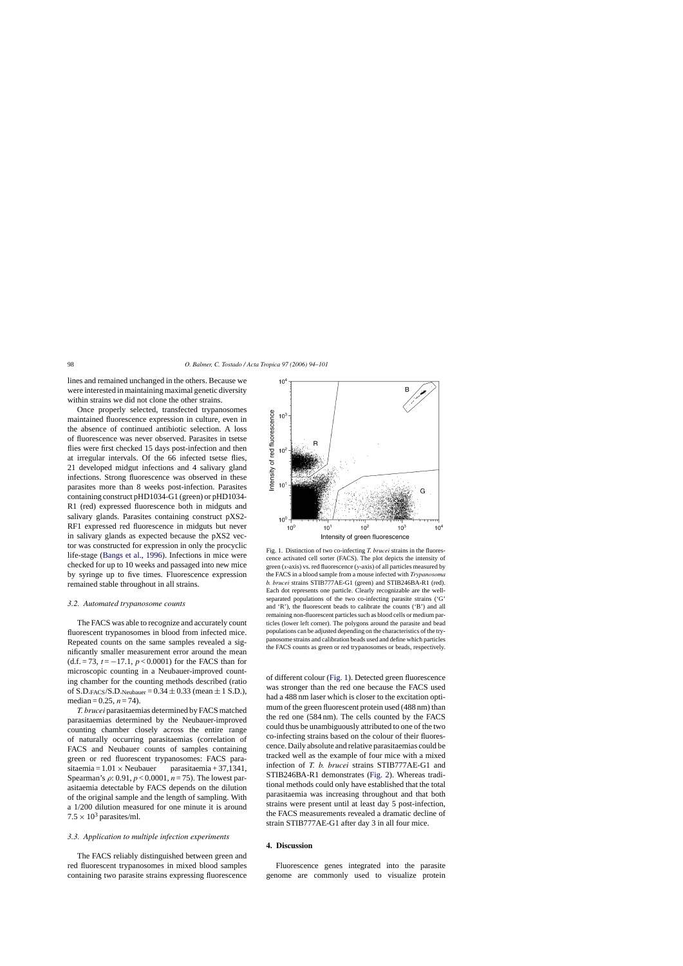lines and remained unchanged in the others. Because we were interested in maintaining maximal genetic diversity within strains we did not clone the other strains.

Once properly selected, transfected trypanosomes maintained fluorescence expression in culture, even in the absence of continued antibiotic selection. A loss of fluorescence was never observed. Parasites in tsetse flies were first checked 15 days post-infection and then at irregular intervals. Of the 66 infected tsetse flies, 21 developed midgut infections and 4 salivary gland infections. Strong fluorescence was observed in these parasites more than 8 weeks post-infection. Parasites containing construct pHD1034-G1 (green) or pHD1034- R1 (red) expressed fluorescence both in midguts and salivary glands. Parasites containing construct pXS2- RF1 expressed red fluorescence in midguts but never in salivary glands as expected because the pXS2 vector was constructed for expression in only the procyclic life-stage ([Bangs et al., 1996\)](#page-6-0). Infections in mice were checked for up to 10 weeks and passaged into new mice by syringe up to five times. Fluorescence expression remained stable throughout in all strains.

#### *3.2. Automated trypanosome counts*

The FACS was able to recognize and accurately count fluorescent trypanosomes in blood from infected mice. Repeated counts on the same samples revealed a significantly smaller measurement error around the mean  $(d.f. = 73, t = -17.1, p < 0.0001)$  for the FACS than for microscopic counting in a Neubauer-improved counting chamber for the counting methods described (ratio of S.D. $_{\text{FACS}}$ /S.D. $_{\text{Neubauer}}$  = 0.34  $\pm$  0.33 (mean  $\pm$  1 S.D.), median = 0.25,  $n = 74$ ).

*T. brucei* parasitaemias determined by FACS matched parasitaemias determined by the Neubauer-improved counting chamber closely across the entire range of naturally occurring parasitaemias (correlation of FACS and Neubauer counts of samples containing green or red fluorescent trypanosomes: FACS parasitaemia =  $1.01 \times$  Neubauer parasitaemia + 37,1341, Spearman's ρ: 0.91, *p* < 0.0001, *n* = 75). The lowest parasitaemia detectable by FACS depends on the dilution of the original sample and the length of sampling. With a 1/200 dilution measured for one minute it is around  $7.5 \times 10^3$  parasites/ml.

# *3.3. Application to multiple infection experiments*

The FACS reliably distinguished between green and red fluorescent trypanosomes in mixed blood samples containing two parasite strains expressing fluorescence



Fig. 1. Distinction of two co-infecting *T. brucei* strains in the fluorescence activated cell sorter (FACS). The plot depicts the intensity of green (*x*-axis) vs. red fluorescence (*y*-axis) of all particles measured by the FACS in a blood sample from a mouse infected with *Trypanosoma b. brucei* strains STIB777AE-G1 (green) and STIB246BA-R1 (red). Each dot represents one particle. Clearly recognizable are the wellseparated populations of the two co-infecting parasite strains ('G' and 'R'), the fluorescent beads to calibrate the counts ('B') and all remaining non-fluorescent particles such as blood cells or medium particles (lower left corner). The polygons around the parasite and bead populations can be adjusted depending on the characteristics of the trypanosome strains and calibration beads used and define which particles the FACS counts as green or red trypanosomes or beads, respectively.

of different colour (Fig. 1). Detected green fluorescence was stronger than the red one because the FACS used had a 488 nm laser which is closer to the excitation optimum of the green fluorescent protein used (488 nm) than the red one (584 nm). The cells counted by the FACS could thus be unambiguously attributed to one of the two co-infecting strains based on the colour of their fluorescence. Daily absolute and relative parasitaemias could be tracked well as the example of four mice with a mixed infection of *T. b. brucei* strains STIB777AE-G1 and STIB246BA-R1 demonstrates [\(Fig. 2\).](#page-5-0) Whereas traditional methods could only have established that the total parasitaemia was increasing throughout and that both strains were present until at least day 5 post-infection, the FACS measurements revealed a dramatic decline of strain STIB777AE-G1 after day 3 in all four mice.

# **4. Discussion**

Fluorescence genes integrated into the parasite genome are commonly used to visualize protein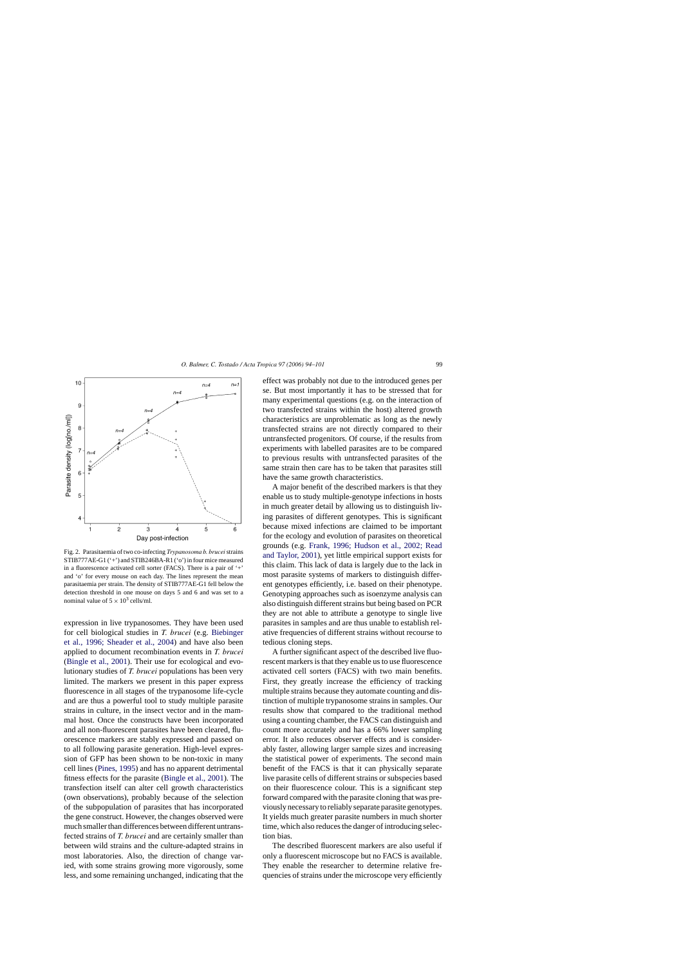<span id="page-5-0"></span>

Fig. 2. Parasitaemia of two co-infecting *Trypanosoma b. brucei*strains STIB777AE-G1 ('+') and STIB246BA-R1 ('o') in four mice measured in a fluorescence activated cell sorter (FACS). There is a pair of '+' and 'o' for every mouse on each day. The lines represent the mean parasitaemia per strain. The density of STIB777AE-G1 fell below the detection threshold in one mouse on days 5 and 6 and was set to a nominal value of  $5 \times 10^3$  cells/ml.

expression in live trypanosomes. They have been used for cell biological studies in *T. brucei* (e.g. [Biebinger](#page-6-0) [et al., 1996; Sheader et al., 2004](#page-6-0)) and have also been applied to document recombination events in *T. brucei* [\(Bingle et al., 2001\).](#page-6-0) Their use for ecological and evolutionary studies of *T. brucei* populations has been very limited. The markers we present in this paper express fluorescence in all stages of the trypanosome life-cycle and are thus a powerful tool to study multiple parasite strains in culture, in the insect vector and in the mammal host. Once the constructs have been incorporated and all non-fluorescent parasites have been cleared, fluorescence markers are stably expressed and passed on to all following parasite generation. High-level expression of GFP has been shown to be non-toxic in many cell lines [\(Pines, 1995\)](#page-7-0) and has no apparent detrimental fitness effects for the parasite [\(Bingle et al., 2001\).](#page-6-0) The transfection itself can alter cell growth characteristics (own observations), probably because of the selection of the subpopulation of parasites that has incorporated the gene construct. However, the changes observed were much smaller than differences between different untransfected strains of *T. brucei* and are certainly smaller than between wild strains and the culture-adapted strains in most laboratories. Also, the direction of change varied, with some strains growing more vigorously, some less, and some remaining unchanged, indicating that the effect was probably not due to the introduced genes per se. But most importantly it has to be stressed that for many experimental questions (e.g. on the interaction of two transfected strains within the host) altered growth characteristics are unproblematic as long as the newly transfected strains are not directly compared to their untransfected progenitors. Of course, if the results from experiments with labelled parasites are to be compared to previous results with untransfected parasites of the same strain then care has to be taken that parasites still have the same growth characteristics.

A major benefit of the described markers is that they enable us to study multiple-genotype infections in hosts in much greater detail by allowing us to distinguish living parasites of different genotypes. This is significant because mixed infections are claimed to be important for the ecology and evolution of parasites on theoretical grounds (e.g. [Frank, 1996; Hudson et al., 2002; Read](#page-6-0) [and Taylor, 2001\),](#page-6-0) yet little empirical support exists for this claim. This lack of data is largely due to the lack in most parasite systems of markers to distinguish different genotypes efficiently, i.e. based on their phenotype. Genotyping approaches such as isoenzyme analysis can also distinguish different strains but being based on PCR they are not able to attribute a genotype to single live parasites in samples and are thus unable to establish relative frequencies of different strains without recourse to tedious cloning steps.

A further significant aspect of the described live fluorescent markers is that they enable us to use fluorescence activated cell sorters (FACS) with two main benefits. First, they greatly increase the efficiency of tracking multiple strains because they automate counting and distinction of multiple trypanosome strains in samples. Our results show that compared to the traditional method using a counting chamber, the FACS can distinguish and count more accurately and has a 66% lower sampling error. It also reduces observer effects and is considerably faster, allowing larger sample sizes and increasing the statistical power of experiments. The second main benefit of the FACS is that it can physically separate live parasite cells of different strains or subspecies based on their fluorescence colour. This is a significant step forward compared with the parasite cloning that was previously necessary to reliably separate parasite genotypes. It yields much greater parasite numbers in much shorter time, which also reduces the danger of introducing selection bias.

The described fluorescent markers are also useful if only a fluorescent microscope but no FACS is available. They enable the researcher to determine relative frequencies of strains under the microscope very efficiently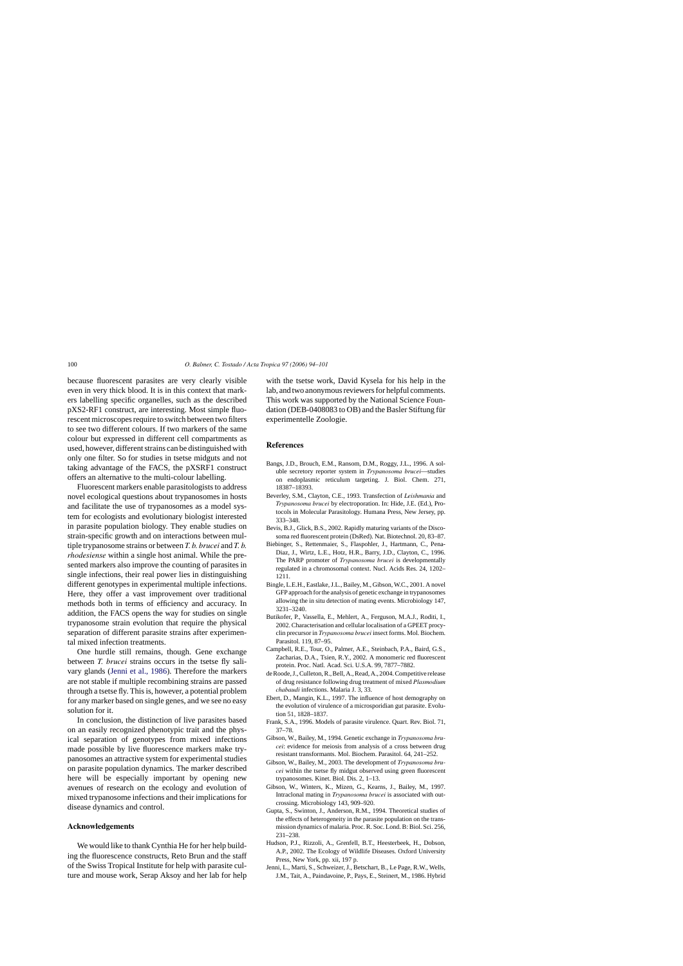<span id="page-6-0"></span>because fluorescent parasites are very clearly visible even in very thick blood. It is in this context that markers labelling specific organelles, such as the described pXS2-RF1 construct, are interesting. Most simple fluorescent microscopes require to switch between two filters to see two different colours. If two markers of the same colour but expressed in different cell compartments as used, however, different strains can be distinguished with only one filter. So for studies in tsetse midguts and not taking advantage of the FACS, the pXSRF1 construct offers an alternative to the multi-colour labelling.

Fluorescent markers enable parasitologists to address novel ecological questions about trypanosomes in hosts and facilitate the use of trypanosomes as a model system for ecologists and evolutionary biologist interested in parasite population biology. They enable studies on strain-specific growth and on interactions between multiple trypanosome strains or between *T. b. brucei* and *T. b. rhodesiense* within a single host animal. While the presented markers also improve the counting of parasites in single infections, their real power lies in distinguishing different genotypes in experimental multiple infections. Here, they offer a vast improvement over traditional methods both in terms of efficiency and accuracy. In addition, the FACS opens the way for studies on single trypanosome strain evolution that require the physical separation of different parasite strains after experimental mixed infection treatments.

One hurdle still remains, though. Gene exchange between *T. brucei* strains occurs in the tsetse fly salivary glands (Jenni et al., 1986). Therefore the markers are not stable if multiple recombining strains are passed through a tsetse fly. This is, however, a potential problem for any marker based on single genes, and we see no easy solution for it.

In conclusion, the distinction of live parasites based on an easily recognized phenotypic trait and the physical separation of genotypes from mixed infections made possible by live fluorescence markers make trypanosomes an attractive system for experimental studies on parasite population dynamics. The marker described here will be especially important by opening new avenues of research on the ecology and evolution of mixed trypanosome infections and their implications for disease dynamics and control.

#### **Acknowledgements**

We would like to thank Cynthia He for her help building the fluorescence constructs, Reto Brun and the staff of the Swiss Tropical Institute for help with parasite culture and mouse work, Serap Aksoy and her lab for help

with the tsetse work, David Kysela for his help in the lab, and two anonymous reviewers for helpful comments. This work was supported by the National Science Foundation (DEB-0408083 to OB) and the Basler Stiftung für experimentelle Zoologie.

#### **References**

- Bangs, J.D., Brouch, E.M., Ransom, D.M., Roggy, J.L., 1996. A soluble secretory reporter system in *Trypanosoma brucei*—studies on endoplasmic reticulum targeting. J. Biol. Chem. 271, 18387–18393.
- Beverley, S.M., Clayton, C.E., 1993. Transfection of *Leishmania* and *Trypanosoma brucei* by electroporation. In: Hide, J.E. (Ed.), Protocols in Molecular Parasitology. Humana Press, New Jersey, pp. 333–348.
- Bevis, B.J., Glick, B.S., 2002. Rapidly maturing variants of the Discosoma red fluorescent protein (DsRed). Nat. Biotechnol. 20, 83–87.
- Biebinger, S., Rettenmaier, S., Flaspohler, J., Hartmann, C., Pena-Diaz, J., Wirtz, L.E., Hotz, H.R., Barry, J.D., Clayton, C., 1996. The PARP promoter of *Trypanosoma brucei* is developmentally regulated in a chromosomal context. Nucl. Acids Res. 24, 1202– 1211.
- Bingle, L.E.H., Eastlake, J.L., Bailey, M., Gibson, W.C., 2001. A novel GFP approach for the analysis of genetic exchange in trypanosomes allowing the in situ detection of mating events. Microbiology 147, 3231–3240.
- Butikofer, P., Vassella, E., Mehlert, A., Ferguson, M.A.J., Roditi, I., 2002. Characterisation and cellular localisation of a GPEET procyclin precursor in *Trypanosoma brucei* insect forms. Mol. Biochem. Parasitol. 119, 87–95.
- Campbell, R.E., Tour, O., Palmer, A.E., Steinbach, P.A., Baird, G.S., Zacharias, D.A., Tsien, R.Y., 2002. A monomeric red fluorescent protein. Proc. Natl. Acad. Sci. U.S.A. 99, 7877–7882.
- de Roode, J., Culleton, R., Bell, A., Read, A., 2004. Competitive release of drug resistance following drug treatment of mixed *Plasmodium chabaudi* infections. Malaria J. 3, 33.
- Ebert, D., Mangin, K.L., 1997. The influence of host demography on the evolution of virulence of a microsporidian gut parasite. Evolution 51, 1828–1837.
- Frank, S.A., 1996. Models of parasite virulence. Quart. Rev. Biol. 71, 37–78.
- Gibson, W., Bailey, M., 1994. Genetic exchange in *Trypanosoma brucei*: evidence for meiosis from analysis of a cross between drug resistant transformants. Mol. Biochem. Parasitol. 64, 241–252.
- Gibson, W., Bailey, M., 2003. The development of *Trypanosoma brucei* within the tsetse fly midgut observed using green fluorescent trypanosomes. Kinet. Biol. Dis. 2, 1–13.
- Gibson, W., Winters, K., Mizen, G., Kearns, J., Bailey, M., 1997. Intraclonal mating in *Trypanosoma brucei* is associated with outcrossing. Microbiology 143, 909–920.
- Gupta, S., Swinton, J., Anderson, R.M., 1994. Theoretical studies of the effects of heterogeneity in the parasite population on the transmission dynamics of malaria. Proc. R. Soc. Lond. B: Biol. Sci. 256, 231–238.
- Hudson, P.J., Rizzoli, A., Grenfell, B.T., Heesterbeek, H., Dobson, A.P., 2002. The Ecology of Wildlife Diseases. Oxford University Press, New York, pp. xii, 197 p.
- Jenni, L., Marti, S., Schweizer, J., Betschart, B., Le Page, R.W., Wells, J.M., Tait, A., Paindavoine, P., Pays, E., Steinert, M., 1986. Hybrid